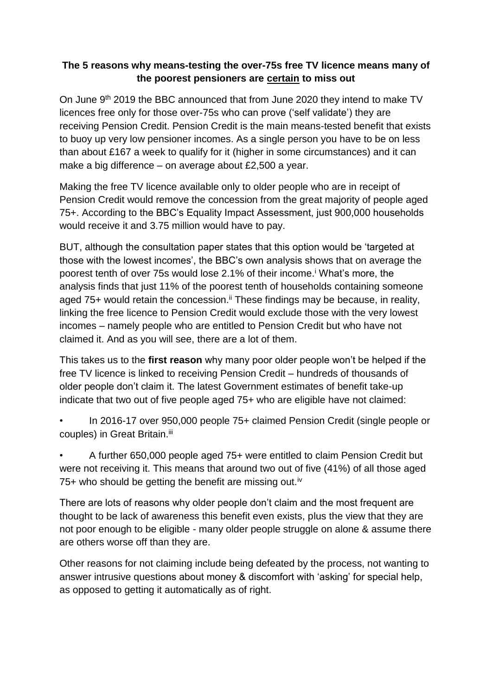## **The 5 reasons why means-testing the over-75s free TV licence means many of the poorest pensioners are certain to miss out**

On June 9th 2019 the BBC announced that from June 2020 they intend to make TV licences free only for those over-75s who can prove ('self validate') they are receiving Pension Credit. Pension Credit is the main means-tested benefit that exists to buoy up very low pensioner incomes. As a single person you have to be on less than about £167 a week to qualify for it (higher in some circumstances) and it can make a big difference – on average about £2,500 a year.

Making the free TV licence available only to older people who are in receipt of Pension Credit would remove the concession from the great majority of people aged 75+. According to the BBC's Equality Impact Assessment, just 900,000 households would receive it and 3.75 million would have to pay.

BUT, although the consultation paper states that this option would be 'targeted at those with the lowest incomes', the BBC's own analysis shows that on average the poorest tenth of over 75s would lose 2.1% of their income.<sup>i</sup> What's more, the analysis finds that just 11% of the poorest tenth of households containing someone aged 75+ would retain the concession.<sup>ii</sup> These findings may be because, in reality, linking the free licence to Pension Credit would exclude those with the very lowest incomes – namely people who are entitled to Pension Credit but who have not claimed it. And as you will see, there are a lot of them.

This takes us to the **first reason** why many poor older people won't be helped if the free TV licence is linked to receiving Pension Credit – hundreds of thousands of older people don't claim it. The latest Government estimates of benefit take-up indicate that two out of five people aged 75+ who are eligible have not claimed:

• In 2016-17 over 950,000 people 75+ claimed Pension Credit (single people or couples) in Great Britain.<sup>iii</sup>

• A further 650,000 people aged 75+ were entitled to claim Pension Credit but were not receiving it. This means that around two out of five (41%) of all those aged 75+ who should be getting the benefit are missing out.<sup>iv</sup>

There are lots of reasons why older people don't claim and the most frequent are thought to be lack of awareness this benefit even exists, plus the view that they are not poor enough to be eligible - many older people struggle on alone & assume there are others worse off than they are.

Other reasons for not claiming include being defeated by the process, not wanting to answer intrusive questions about money & discomfort with 'asking' for special help, as opposed to getting it automatically as of right.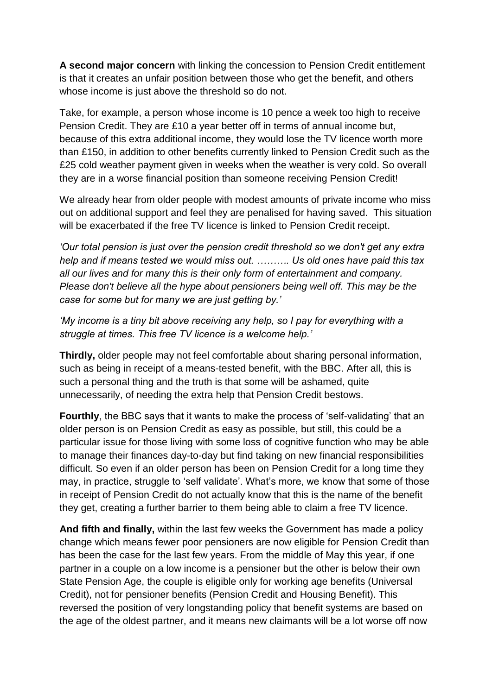**A second major concern** with linking the concession to Pension Credit entitlement is that it creates an unfair position between those who get the benefit, and others whose income is just above the threshold so do not.

Take, for example, a person whose income is 10 pence a week too high to receive Pension Credit. They are £10 a year better off in terms of annual income but, because of this extra additional income, they would lose the TV licence worth more than £150, in addition to other benefits currently linked to Pension Credit such as the £25 cold weather payment given in weeks when the weather is very cold. So overall they are in a worse financial position than someone receiving Pension Credit!

We already hear from older people with modest amounts of private income who miss out on additional support and feel they are penalised for having saved. This situation will be exacerbated if the free TV licence is linked to Pension Credit receipt.

*'Our total pension is just over the pension credit threshold so we don't get any extra help and if means tested we would miss out. ………. Us old ones have paid this tax all our lives and for many this is their only form of entertainment and company. Please don't believe all the hype about pensioners being well off. This may be the case for some but for many we are just getting by.'*

*'My income is a tiny bit above receiving any help, so I pay for everything with a struggle at times. This free TV licence is a welcome help.'*

**Thirdly,** older people may not feel comfortable about sharing personal information, such as being in receipt of a means-tested benefit, with the BBC. After all, this is such a personal thing and the truth is that some will be ashamed, quite unnecessarily, of needing the extra help that Pension Credit bestows.

**Fourthly**, the BBC says that it wants to make the process of 'self-validating' that an older person is on Pension Credit as easy as possible, but still, this could be a particular issue for those living with some loss of cognitive function who may be able to manage their finances day-to-day but find taking on new financial responsibilities difficult. So even if an older person has been on Pension Credit for a long time they may, in practice, struggle to 'self validate'. What's more, we know that some of those in receipt of Pension Credit do not actually know that this is the name of the benefit they get, creating a further barrier to them being able to claim a free TV licence.

**And fifth and finally,** within the last few weeks the Government has made a policy change which means fewer poor pensioners are now eligible for Pension Credit than has been the case for the last few years. From the middle of May this year, if one partner in a couple on a low income is a pensioner but the other is below their own State Pension Age, the couple is eligible only for working age benefits (Universal Credit), not for pensioner benefits (Pension Credit and Housing Benefit). This reversed the position of very longstanding policy that benefit systems are based on the age of the oldest partner, and it means new claimants will be a lot worse off now